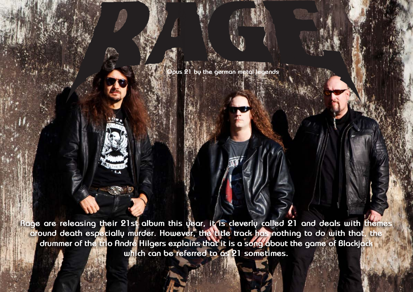$H$  and  $H$  are  $H$ Design by Daniel Källmalm

 $H$ allow $\mathbf{F}$ -article Design by Daniel Källmalm

**Rage are releasing their 21st album this year, it is cleverly called 21 and deals with themes around death especially murder. However, the title track has nothing to do with that, the drummer of the trio André Hilgers explains that it is a song about the game of Blackjack which can be referred to as 21 sometimes.**

**Opus 21 by the german metal legends**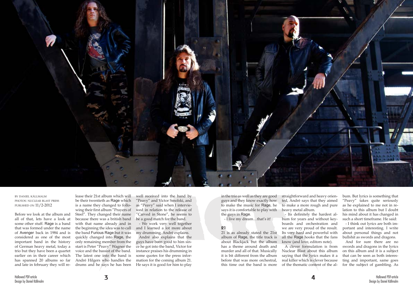

by daniel källmalm photos: nuclear blast press publshed on 11/2-2012

Before we look at the album and all of that, lets have a look at some other stuff. Rage is a band that was formed under the name of Avenger back in 1984 and is considered as one of the most important band in the history of German heavy metal, today a trio but they have been a quartet earlier on in their career which has spanned 20 albums so far and late in february they will re-

lease their 21st album which will be their twentieth as Rage which is a name they changed to following their first album "Prayers of Steel". They changed their name because there was a british band with that name already and in the beginning the idea was to call the band Furious Rage but it was quickly changed into Rage, the only remaining member from the start is Peter "Peavy" Wagner the voice and the bassist of the band. The latest one into the band is André Hilgers who handles the drums and he says he has been

well received into the band by "Peavy" and Victor Smolski, and as "Peavy" said when I interviewed in relation to the release of "Carved in Stone", he seems to be a good match for the band.

- We work very well together and I learned a lot more about my drumming, André explains.

André also explains that the guys have been good to him since he got into the band, Victor for instance praises his drumming in some quotes for the press information for the coming album 21. He says it is good for him to play

in the trio as well as they are good guys and they know exactly how to make the music for Rage, he says it is comfortable to play with the guys in Rage.

- I live my dream…that's it!

## **21**

21 is as already stated the 21st album of Rage, the title track is about Blackjack but the album has a theme around death and murder and all of that. Musically it is bit different from the album before that was more orchestral, this time out the band is more

straightforward and heavy oriented, André says that they aimed to make a more rough and pure heavy metal album.

- Its definitely the hardest album for years and without keyboards and orchestration and we are very proud of the result. Its very hard and powerful with all the Rage hooks that the fans know (and love, editors note).

A clever formulation is from Nuclear Blast about this album saying that the lyrics makes it a real killer which is clever because of the thematic content of the al-

bum. But lyrics is something that "Peavy" takes quite seriously as he explained to me not in relation to this album but I doubt his mind about it has changed in such a short timeframe. He said:

- I think out lyrics are both important and interesting. I write about personal things and not bullshit as swords and dragons.

And for sure there are no swords and dragons in the lyrics on this album and it is a subject that can be seen as both interesting and important, same goes for the subject of gambling. As